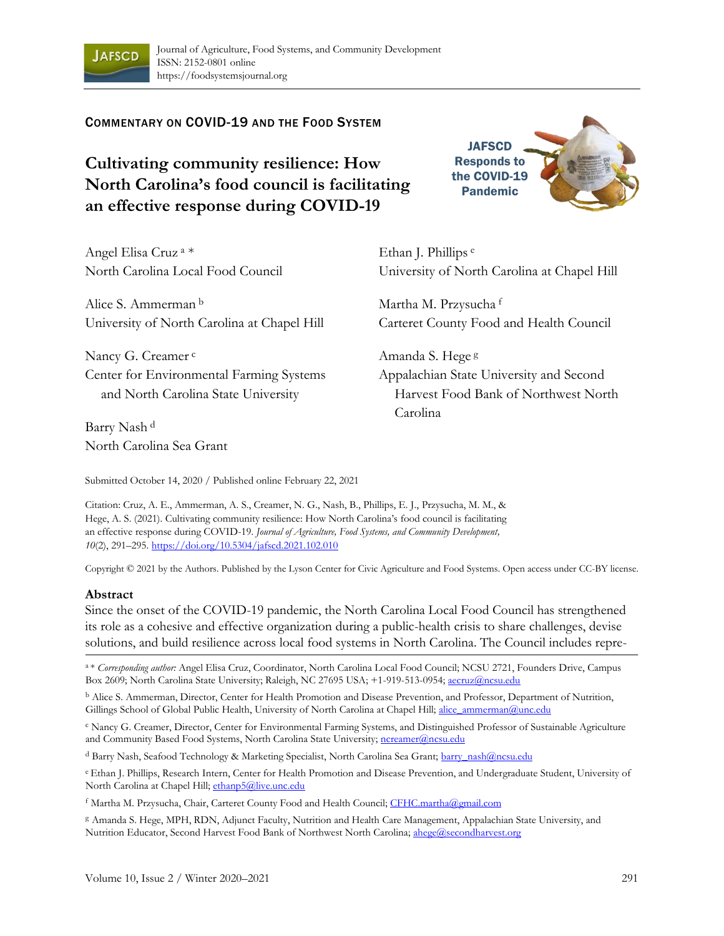

## COMMENTARY ON COVID-19 AND THE FOOD SYSTEM

# **Cultivating community resilience: How North Carolina's food council is facilitating an effective response during COVID-19**

Angel Elisa Cruz <sup>a</sup> \* North Carolina Local Food Council

Alice S. Ammerman <sup>b</sup> University of North Carolina at Chapel Hill

Nancy G. Creamer<sup>c</sup> Center for Environmental Farming Systems and North Carolina State University

Barry Nash <sup>d</sup> North Carolina Sea Grant Ethan J. Phillips <sup>e</sup> University of North Carolina at Chapel Hill

**JAFSCD** Responds to the COVID-19 Pandemic

Martha M. Przysucha <sup>f</sup> Carteret County Food and Health Council

Amanda S. Hege <sup>g</sup> Appalachian State University and Second Harvest Food Bank of Northwest North Carolina

Submitted October 14, 2020 / Published online February 22, 2021

Citation: Cruz, A. E., Ammerman, A. S., Creamer, N. G., Nash, B., Phillips, E. J., Przysucha, M. M., & Hege, A. S. (2021). Cultivating community resilience: How North Carolina's food council is facilitating an effective response during COVID-19. *Journal of Agriculture, Food Systems, and Community Development, 10*(2), 291–295. https://doi.org/10.5304/jafscd.2021.102.010

Copyright © 2021 by the Authors. Published by the Lyson Center for Civic Agriculture and Food Systems. Open access under CC-BY license.

#### **Abstract**

Since the onset of the COVID-19 pandemic, the North Carolina Local Food Council has strengthened its role as a cohesive and effective organization during a public-health crisis to share challenges, devise solutions, and build resilience across local food systems in North Carolina. The Council includes repre-

<sup>a</sup>\* *Corresponding author:* Angel Elisa Cruz, Coordinator, North Carolina Local Food Council; NCSU 2721, Founders Drive, Campus Box 2609; North Carolina State University; Raleigh, NC 27695 USA; +1-919-513-0954; aecruz@ncsu.edu

<sup>b</sup> Alice S. Ammerman, Director, Center for Health Promotion and Disease Prevention, and Professor, Department of Nutrition, Gillings School of Global Public Health, University of North Carolina at Chapel Hill; alice\_ammerman@unc.edu

<sup>c</sup> Nancy G. Creamer, Director, Center for Environmental Farming Systems, and Distinguished Professor of Sustainable Agriculture and Community Based Food Systems, North Carolina State University; ncreamer@ncsu.edu

<sup>d</sup> Barry Nash, Seafood Technology & Marketing Specialist, North Carolina Sea Grant; barry\_nash@ncsu.edu

<sup>e</sup>Ethan J. Phillips, Research Intern, Center for Health Promotion and Disease Prevention, and Undergraduate Student, University of North Carolina at Chapel Hill; ethanp5@live.unc.edu

<sup>f</sup> Martha M. Przysucha, Chair, Carteret County Food and Health Council; CFHC.martha@gmail.com

<sup>g</sup> Amanda S. Hege, MPH, RDN, Adjunct Faculty, Nutrition and Health Care Management, Appalachian State University, and Nutrition Educator, Second Harvest Food Bank of Northwest North Carolina; ahege@secondharvest.org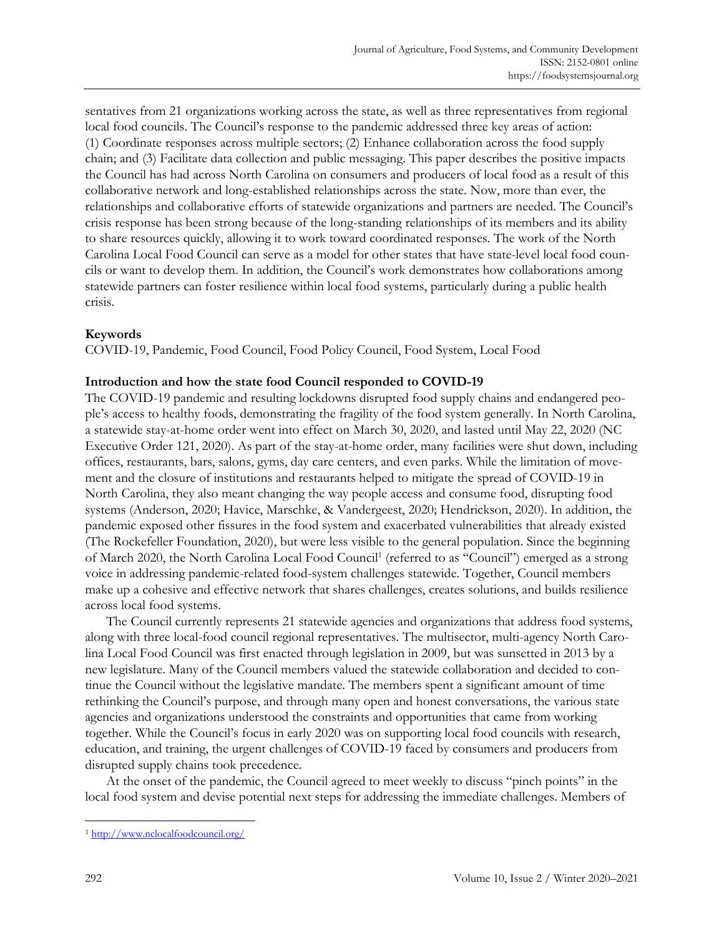sentatives from 21 organizations working across the state, as well as three representatives from regional local food councils. The Council's response to the pandemic addressed three key areas of action: (1) Coordinate responses across multiple sectors; (2) Enhance collaboration across the food supply chain; and (3) Facilitate data collection and public messaging. This paper describes the positive impacts the Council has had across North Carolina on consumers and producers of local food as a result of this collaborative network and long-established relationships across the state. Now, more than ever, the relationships and collaborative efforts of statewide organizations and partners are needed. The Council's crisis response has been strong because of the long-standing relationships of its members and its ability to share resources quickly, allowing it to work toward coordinated responses. The work of the North Carolina Local Food Council can serve as a model for other states that have state-level local food councils or want to develop them. In addition, the Council's work demonstrates how collaborations among statewide partners can foster resilience within local food systems, particularly during a public health crisis.

## **Keywords**

COVID-19, Pandemic, Food Council, Food Policy Council, Food System, Local Food

## **Introduction and how the state food Council responded to COVID-19**

The COVID-19 pandemic and resulting lockdowns disrupted food supply chains and endangered people's access to healthy foods, demonstrating the fragility of the food system generally. In North Carolina, a statewide stay-at-home order went into effect on March 30, 2020, and lasted until May 22, 2020 (NC Executive Order 121, 2020). As part of the stay-at-home order, many facilities were shut down, including offices, restaurants, bars, salons, gyms, day care centers, and even parks. While the limitation of movement and the closure of institutions and restaurants helped to mitigate the spread of COVID-19 in North Carolina, they also meant changing the way people access and consume food, disrupting food systems (Anderson, 2020; Havice, Marschke, & Vandergeest, 2020; Hendrickson, 2020). In addition, the pandemic exposed other fissures in the food system and exacerbated vulnerabilities that already existed (The Rockefeller Foundation, 2020), but were less visible to the general population. Since the beginning of March 2020, the North Carolina Local Food Council<sup>1</sup> (referred to as "Council") emerged as a strong voice in addressing pandemic-related food-system challenges statewide. Together, Council members make up a cohesive and effective network that shares challenges, creates solutions, and builds resilience across local food systems.

The Council currently represents 21 statewide agencies and organizations that address food systems, along with three local-food council regional representatives. The multisector, multi-agency North Carolina Local Food Council was first enacted through legislation in 2009, but was sunsetted in 2013 by a new legislature. Many of the Council members valued the statewide collaboration and decided to continue the Council without the legislative mandate. The members spent a significant amount of time rethinking the Council's purpose, and through many open and honest conversations, the various state agencies and organizations understood the constraints and opportunities that came from working together. While the Council's focus in early 2020 was on supporting local food councils with research, education, and training, the urgent challenges of COVID-19 faced by consumers and producers from disrupted supply chains took precedence.

At the onset of the pandemic, the Council agreed to meet weekly to discuss "pinch points" in the local food system and devise potential next steps for addressing the immediate challenges. Members of

<sup>1</sup> http://www.nclocalfoodcouncil.org/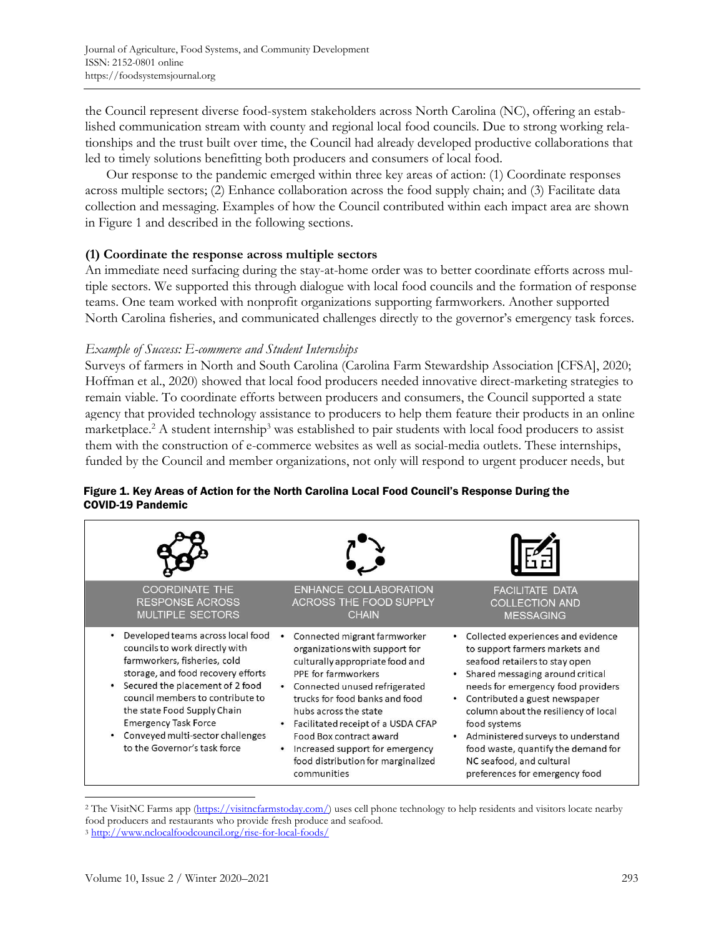the Council represent diverse food-system stakeholders across North Carolina (NC), offering an established communication stream with county and regional local food councils. Due to strong working relationships and the trust built over time, the Council had already developed productive collaborations that led to timely solutions benefitting both producers and consumers of local food.

Our response to the pandemic emerged within three key areas of action: (1) Coordinate responses across multiple sectors; (2) Enhance collaboration across the food supply chain; and (3) Facilitate data collection and messaging. Examples of how the Council contributed within each impact area are shown in Figure 1 and described in the following sections.

## **(1) Coordinate the response across multiple sectors**

An immediate need surfacing during the stay-at-home order was to better coordinate efforts across multiple sectors. We supported this through dialogue with local food councils and the formation of response teams. One team worked with nonprofit organizations supporting farmworkers. Another supported North Carolina fisheries, and communicated challenges directly to the governor's emergency task forces.

## *Example of Success: E-commerce and Student Internships*

Surveys of farmers in North and South Carolina (Carolina Farm Stewardship Association [CFSA], 2020; Hoffman et al., 2020) showed that local food producers needed innovative direct-marketing strategies to remain viable. To coordinate efforts between producers and consumers, the Council supported a state agency that provided technology assistance to producers to help them feature their products in an online marketplace.<sup>2</sup> A student internship<sup>3</sup> was established to pair students with local food producers to assist them with the construction of e-commerce websites as well as social-media outlets. These internships, funded by the Council and member organizations, not only will respond to urgent producer needs, but

| <b>COORDINATE THE</b><br><b>RESPONSE ACROSS</b><br><b>MULTIPLE SECTORS</b>                                                                                                                                                                                                                                                                         | ENHANCE COLLABORATION<br><b>ACROSS THE FOOD SUPPLY</b><br><b>CHAIN</b>                                                                                                                                                                                                                                                                                                        | <b>FACILITATE DATA</b><br><b>COLLECTION AND</b><br><b>MESSAGING</b>                                                                                                                                                                                                                                                                                                                                                      |
|----------------------------------------------------------------------------------------------------------------------------------------------------------------------------------------------------------------------------------------------------------------------------------------------------------------------------------------------------|-------------------------------------------------------------------------------------------------------------------------------------------------------------------------------------------------------------------------------------------------------------------------------------------------------------------------------------------------------------------------------|--------------------------------------------------------------------------------------------------------------------------------------------------------------------------------------------------------------------------------------------------------------------------------------------------------------------------------------------------------------------------------------------------------------------------|
| Developed teams across local food<br>councils to work directly with<br>farmworkers, fisheries, cold<br>storage, and food recovery efforts<br>Secured the placement of 2 food<br>council members to contribute to<br>the state Food Supply Chain<br><b>Emergency Task Force</b><br>Conveyed multi-sector challenges<br>to the Governor's task force | Connected migrant farmworker<br>organizations with support for<br>culturally appropriate food and<br>PPE for farmworkers<br>Connected unused refrigerated<br>trucks for food banks and food<br>hubs across the state<br>Facilitated receipt of a USDA CFAP<br>Food Box contract award<br>Increased support for emergency<br>food distribution for marginalized<br>communities | • Collected experiences and evidence<br>to support farmers markets and<br>seafood retailers to stay open<br>Shared messaging around critical<br>needs for emergency food providers<br>• Contributed a guest newspaper<br>column about the resiliency of local<br>food systems<br>Administered surveys to understand<br>food waste, quantify the demand for<br>NC seafood, and cultural<br>preferences for emergency food |

## Figure 1. Key Areas of Action for the North Carolina Local Food Council's Response During the COVID-19 Pandemic

<sup>&</sup>lt;sup>2</sup> The VisitNC Farms app (https://visitncfarmstoday.com/) uses cell phone technology to help residents and visitors locate nearby food producers and restaurants who provide fresh produce and seafood. <sup>3</sup> http://www.nclocalfoodcouncil.org/rise-for-local-foods/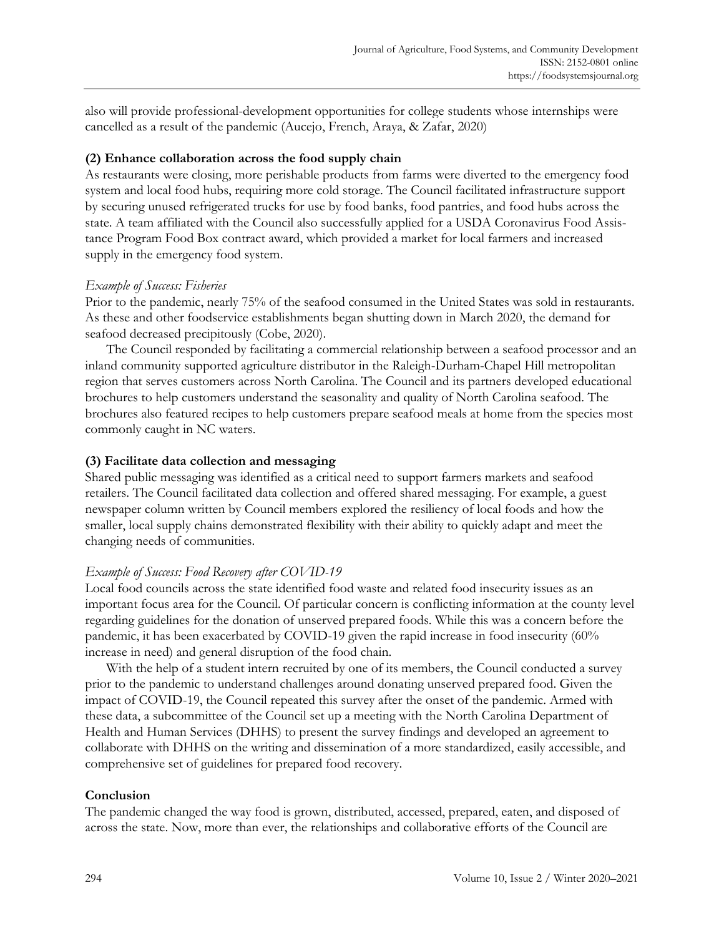also will provide professional-development opportunities for college students whose internships were cancelled as a result of the pandemic (Aucejo, French, Araya, & Zafar, 2020)

## **(2) Enhance collaboration across the food supply chain**

As restaurants were closing, more perishable products from farms were diverted to the emergency food system and local food hubs, requiring more cold storage. The Council facilitated infrastructure support by securing unused refrigerated trucks for use by food banks, food pantries, and food hubs across the state. A team affiliated with the Council also successfully applied for a USDA Coronavirus Food Assistance Program Food Box contract award, which provided a market for local farmers and increased supply in the emergency food system.

## *Example of Success: Fisheries*

Prior to the pandemic, nearly 75% of the seafood consumed in the United States was sold in restaurants. As these and other foodservice establishments began shutting down in March 2020, the demand for seafood decreased precipitously (Cobe, 2020).

The Council responded by facilitating a commercial relationship between a seafood processor and an inland community supported agriculture distributor in the Raleigh-Durham-Chapel Hill metropolitan region that serves customers across North Carolina. The Council and its partners developed educational brochures to help customers understand the seasonality and quality of North Carolina seafood. The brochures also featured recipes to help customers prepare seafood meals at home from the species most commonly caught in NC waters.

# **(3) Facilitate data collection and messaging**

Shared public messaging was identified as a critical need to support farmers markets and seafood retailers. The Council facilitated data collection and offered shared messaging. For example, a guest newspaper column written by Council members explored the resiliency of local foods and how the smaller, local supply chains demonstrated flexibility with their ability to quickly adapt and meet the changing needs of communities.

# *Example of Success: Food Recovery after COVID-19*

Local food councils across the state identified food waste and related food insecurity issues as an important focus area for the Council. Of particular concern is conflicting information at the county level regarding guidelines for the donation of unserved prepared foods. While this was a concern before the pandemic, it has been exacerbated by COVID-19 given the rapid increase in food insecurity (60% increase in need) and general disruption of the food chain.

With the help of a student intern recruited by one of its members, the Council conducted a survey prior to the pandemic to understand challenges around donating unserved prepared food. Given the impact of COVID-19, the Council repeated this survey after the onset of the pandemic. Armed with these data, a subcommittee of the Council set up a meeting with the North Carolina Department of Health and Human Services (DHHS) to present the survey findings and developed an agreement to collaborate with DHHS on the writing and dissemination of a more standardized, easily accessible, and comprehensive set of guidelines for prepared food recovery.

## **Conclusion**

The pandemic changed the way food is grown, distributed, accessed, prepared, eaten, and disposed of across the state. Now, more than ever, the relationships and collaborative efforts of the Council are